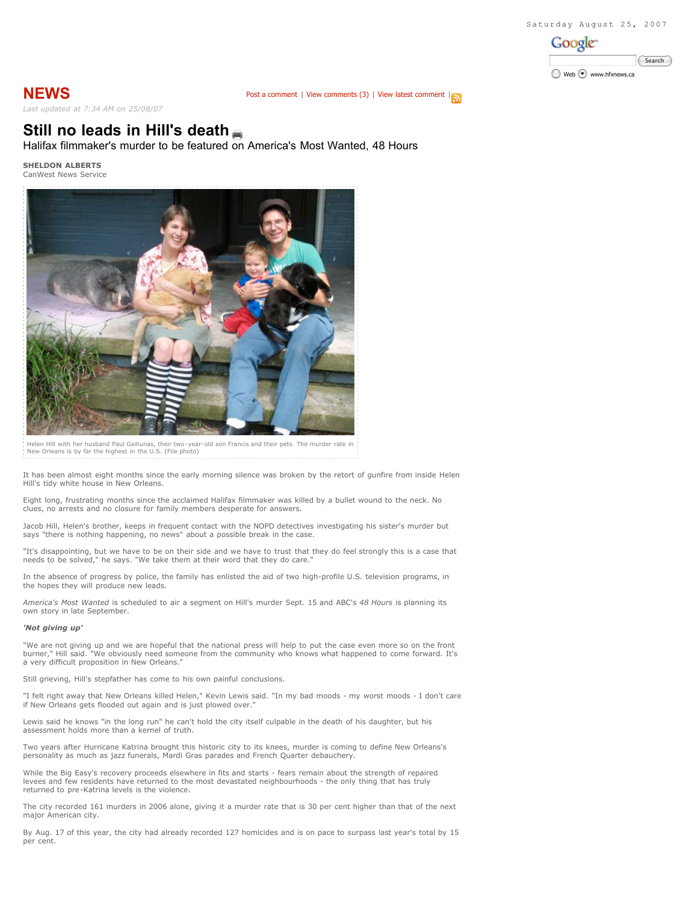

**NEWS** Post a comment | View comments (3) | View latest comment | **N** *Last updated at 7:34 AM on 25/08/07*

# **Still no leads in Hill's death**

Halifax filmmaker's murder to be featured on America's Most Wanted, 48 Hours

**SHELDON ALBERTS** CanWest News Service



Helen Hill with her husband Paul Gailiunas, their two-year-old son Francis and their pets. The murder rate in New Orleans is by far the highest in the U.S. (File photo)

It has been almost eight months since the early morning silence was broken by the retort of gunfire from inside Helen Hill's tidy white house in New Orleans.

Eight long, frustrating months since the acclaimed Halifax filmmaker was killed by a bullet wound to the neck. No clues, no arrests and no closure for family members desperate for answers.

Jacob Hill, Helen's brother, keeps in frequent contact with the NOPD detectives investigating his sister's murder but says "there is nothing happening, no news" about a possible break in the case.

"It's disappointing, but we have to be on their side and we have to trust that they do feel strongly this is a case that needs to be solved," he says. "We take them at their word that they do care."

In the absence of progress by police, the family has enlisted the aid of two high-profile U.S. television programs, in the hopes they will produce new leads.

*America's Most Wanted* is scheduled to air a segment on Hill's murder Sept. 15 and ABC's *48 Hours* is planning its own story in late September.

## *'Not giving up'*

"We are not giving up and we are hopeful that the national press will help to put the case even more so on the front<br>burner," Hill said. "We obviously need someone from the community who knows what happened to come forward a very difficult proposition in New Orleans."

Still grieving, Hill's stepfather has come to his own painful conclusions.

"I felt right away that New Orleans killed Helen," Kevin Lewis said. "In my bad moods - my worst moods - I don't care if New Orleans gets flooded out again and is just plowed over."

Lewis said he knows "in the long run" he can't hold the city itself culpable in the death of his daughter, but his assessment holds more than a kernel of truth.

Two years after Hurricane Katrina brought this historic city to its knees, murder is coming to define New Orleans's personality as much as jazz funerals, Mardi Gras parades and French Quarter debauchery.

While the Big Easy's recovery proceeds elsewhere in fits and starts - fears remain about the strength of repaired levees and few residents have returned to the most devastated neighbourhoods - the only thing that has truly returned to pre-Katrina levels is the violence.

The city recorded 161 murders in 2006 alone, giving it a murder rate that is 30 per cent higher than that of the next major American city.

By Aug. 17 of this year, the city had already recorded 127 homicides and is on pace to surpass last year's total by 15 per cent.